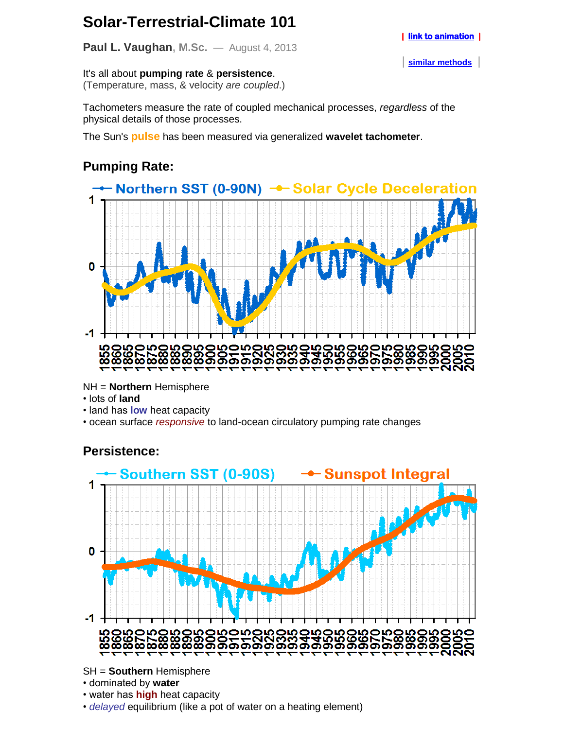# **Solar-Terrestrial-Climate 101**

**Paul L. Vaughan, M.Sc.** — August 4, 2013

It's all about **pumping rate** & **persistence**. (Temperature, mass, & velocity *are coupled*.)

Tachometers measure the rate of coupled mechanical processes, *regardless* of the physical details of those processes.

The Sun's **pulse** has been measured via generalized **wavelet tachometer**.

## **Pumping Rate:**



NH = **Northern** Hemisphere

- lots of **land**
- land has **low** heat capacity

• ocean surface *responsive* to land-ocean circulatory pumping rate changes

### **Persistence:**



SH = **Southern** Hemisphere

- dominated by **water**
- water has **high** heat capacity
- *delayed* equilibrium (like a pot of water on a heating element)

| **[similar methods](http://www.aanda.org/index.php?option=com_article&access=standard&Itemid=129&url=/articles/aa/abs/2007/45/aa8672-07/aa8672-07.html)** |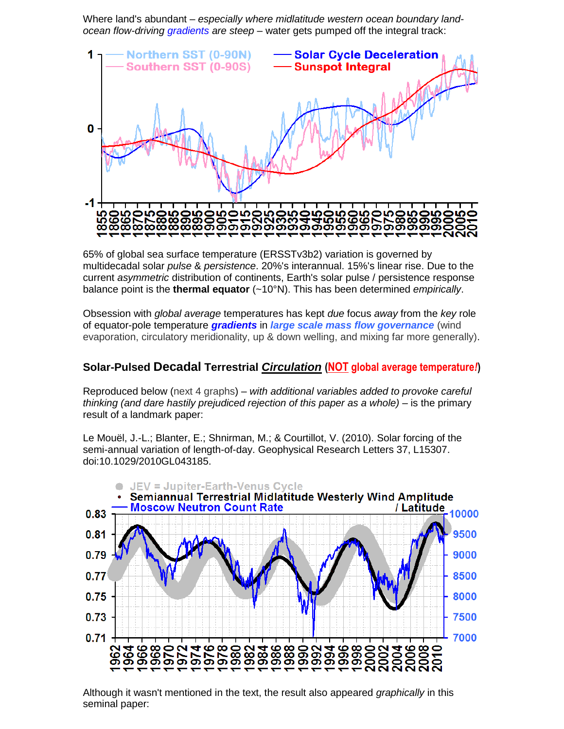Where land's abundant – *especially where midlatitude western ocean boundary landocean flow-driving gradients are steep* – water gets pumped off the integral track:



65% of global sea surface temperature (ERSSTv3b2) variation is governed by multidecadal solar *pulse* & *persistence*. 20%'s interannual. 15%'s linear rise. Due to the current *asymmetric* distribution of continents, Earth's solar pulse / persistence response balance point is the **thermal equator** (~10°N). This has been determined *empirically*.

Obsession with *global average* temperatures has kept *due* focus *away* from the *key* role of equator-pole temperature *gradients* in *large scale mass flow governance* (wind evaporation, circulatory meridionality, up & down welling, and mixing far more generally).

#### **Solar-Pulsed Decadal Terrestrial** *Circulation* **(NOT global average temperature***!***)**

Reproduced below (next 4 graphs) – *with additional variables added to provoke careful thinking (and dare hastily prejudiced rejection of this paper as a whole)* – is the primary result of a landmark paper:

Le Mouël, J.-L.; Blanter, E.; Shnirman, M.; & Courtillot, V. (2010). Solar forcing of the semi-annual variation of length-of-day. Geophysical Research Letters 37, L15307. doi:10.1029/2010GL043185.



Although it wasn't mentioned in the text, the result also appeared *graphically* in this seminal paper: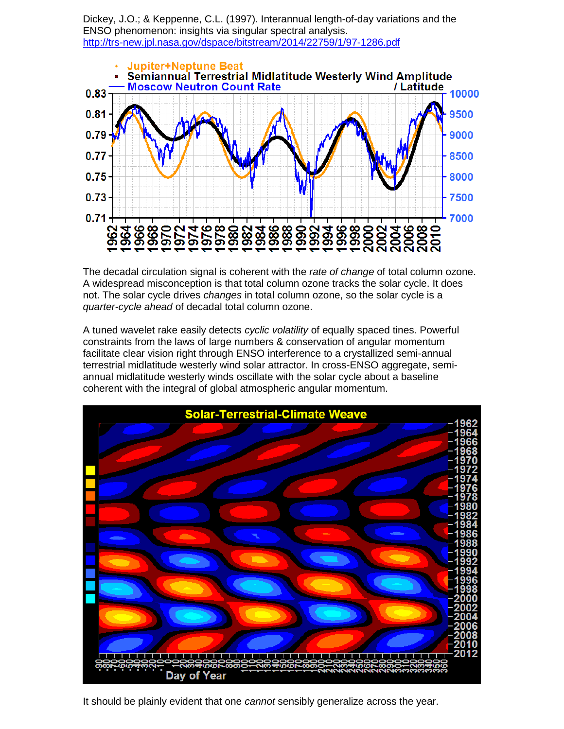Dickey, J.O.; & Keppenne, C.L. (1997). Interannual length-of-day variations and the ENSO phenomenon: insights via singular spectral analysis. <http://trs-new.jpl.nasa.gov/dspace/bitstream/2014/22759/1/97-1286.pdf>



The decadal circulation signal is coherent with the *rate of change* of total column ozone. A widespread misconception is that total column ozone tracks the solar cycle. It does not. The solar cycle drives *changes* in total column ozone, so the solar cycle is a *quarter-cycle ahead* of decadal total column ozone.

A tuned wavelet rake easily detects *cyclic volatility* of equally spaced tines. Powerful constraints from the laws of large numbers & conservation of angular momentum facilitate clear vision right through ENSO interference to a crystallized semi-annual terrestrial midlatitude westerly wind solar attractor. In cross-ENSO aggregate, semiannual midlatitude westerly winds oscillate with the solar cycle about a baseline coherent with the integral of global atmospheric angular momentum.



It should be plainly evident that one *cannot* sensibly generalize across the year.